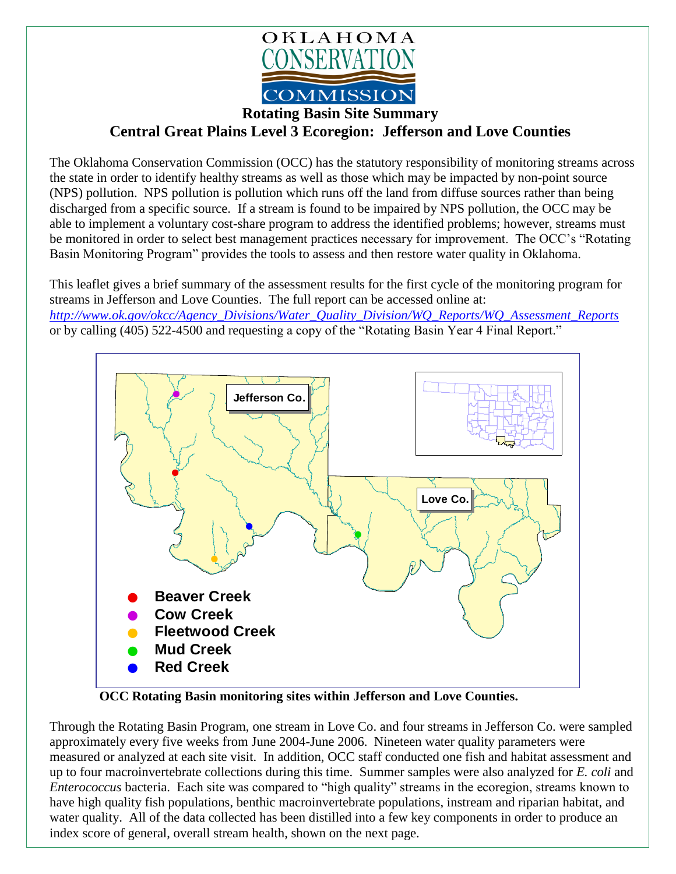

## **Rotating Basin Site Summary**

## **Central Great Plains Level 3 Ecoregion: Jefferson and Love Counties**

The Oklahoma Conservation Commission (OCC) has the statutory responsibility of monitoring streams across the state in order to identify healthy streams as well as those which may be impacted by non-point source (NPS) pollution. NPS pollution is pollution which runs off the land from diffuse sources rather than being discharged from a specific source. If a stream is found to be impaired by NPS pollution, the OCC may be able to implement a voluntary cost-share program to address the identified problems; however, streams must be monitored in order to select best management practices necessary for improvement. The OCC's "Rotating Basin Monitoring Program" provides the tools to assess and then restore water quality in Oklahoma.

This leaflet gives a brief summary of the assessment results for the first cycle of the monitoring program for streams in Jefferson and Love Counties. The full report can be accessed online at: *[http://www.ok.gov/okcc/Agency\\_Divisions/Water\\_Quality\\_Division/WQ\\_Reports/WQ\\_Assessment\\_Reports](http://www.ok.gov/okcc/Agency_Divisions/Water_Quality_Division/WQ_Reports/WQ_Assessment_Reports)* or by calling (405) 522-4500 and requesting a copy of the "Rotating Basin Year 4 Final Report."



**OCC Rotating Basin monitoring sites within Jefferson and Love Counties.**

Through the Rotating Basin Program, one stream in Love Co. and four streams in Jefferson Co. were sampled approximately every five weeks from June 2004-June 2006. Nineteen water quality parameters were measured or analyzed at each site visit. In addition, OCC staff conducted one fish and habitat assessment and up to four macroinvertebrate collections during this time. Summer samples were also analyzed for *E. coli* and *Enterococcus* bacteria. Each site was compared to "high quality" streams in the ecoregion, streams known to have high quality fish populations, benthic macroinvertebrate populations, instream and riparian habitat, and water quality. All of the data collected has been distilled into a few key components in order to produce an index score of general, overall stream health, shown on the next page.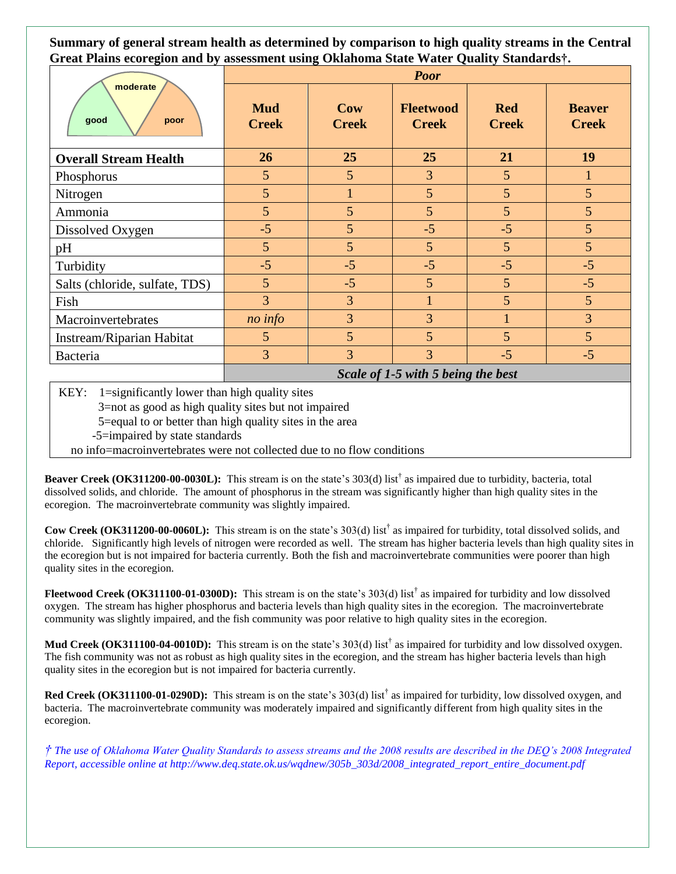**Summary of general stream health as determined by comparison to high quality streams in the Central Great Plains ecoregion and by assessment using Oklahoma State Water Quality Standards†.**

| moderate<br>good<br>poor       | <b>Poor</b>                |                     |                                  |                            |                               |
|--------------------------------|----------------------------|---------------------|----------------------------------|----------------------------|-------------------------------|
|                                | <b>Mud</b><br><b>Creek</b> | Cow<br><b>Creek</b> | <b>Fleetwood</b><br><b>Creek</b> | <b>Red</b><br><b>Creek</b> | <b>Beaver</b><br><b>Creek</b> |
| <b>Overall Stream Health</b>   | 26                         | 25                  | 25                               | 21                         | 19                            |
| Phosphorus                     | $\overline{5}$             | 5                   | $\overline{3}$                   | 5                          |                               |
| Nitrogen                       | $5\overline{)}$            | $\mathbf{1}$        | 5 <sup>5</sup>                   | 5                          | 5                             |
| Ammonia                        | 5                          | 5                   | $\overline{5}$                   | 5                          | 5                             |
| Dissolved Oxygen               | $-5$                       | 5                   | $-5$                             | $-5$                       | 5                             |
| pH                             | 5                          | 5                   | $\overline{5}$                   | 5                          | 5                             |
| Turbidity                      | $-5$                       | $-5$                | $-5$                             | $-5$                       | $-5$                          |
| Salts (chloride, sulfate, TDS) | 5                          | $-5$                | 5 <sup>5</sup>                   | 5                          | $-5$                          |
| Fish                           | $\overline{3}$             | 3                   |                                  | 5                          | 5                             |
| Macroinvertebrates             | no info                    | 3                   | $\overline{3}$                   |                            | $\overline{3}$                |
| Instream/Riparian Habitat      | 5                          | 5                   | $\overline{5}$                   | 5                          | 5                             |
| Bacteria                       | 3                          | $\overline{3}$      | $\overline{3}$                   | $-5$                       | $-5$                          |

*Scale of 1-5 with 5 being the best*

KEY:  $1 =$ significantly lower than high quality sites

3=not as good as high quality sites but not impaired

5=equal to or better than high quality sites in the area

-5=impaired by state standards

no info=macroinvertebrates were not collected due to no flow conditions

**Beaver Creek (OK311200-00-0030L):** This stream is on the state's 303(d) list† as impaired due to turbidity, bacteria, total dissolved solids, and chloride. The amount of phosphorus in the stream was significantly higher than high quality sites in the ecoregion. The macroinvertebrate community was slightly impaired.

**Cow Creek (OK311200-00-0060L):** This stream is on the state's 303(d) list<sup>†</sup> as impaired for turbidity, total dissolved solids, and chloride. Significantly high levels of nitrogen were recorded as well. The stream has higher bacteria levels than high quality sites in the ecoregion but is not impaired for bacteria currently. Both the fish and macroinvertebrate communities were poorer than high quality sites in the ecoregion.

**Fleetwood Creek (OK311100-01-0300D):** This stream is on the state's 303(d) list† as impaired for turbidity and low dissolved oxygen. The stream has higher phosphorus and bacteria levels than high quality sites in the ecoregion. The macroinvertebrate community was slightly impaired, and the fish community was poor relative to high quality sites in the ecoregion.

**Mud Creek (OK311100-04-0010D):** This stream is on the state's 303(d) list† as impaired for turbidity and low dissolved oxygen. The fish community was not as robust as high quality sites in the ecoregion, and the stream has higher bacteria levels than high quality sites in the ecoregion but is not impaired for bacteria currently.

Red Creek (OK311100-01-0290D): This stream is on the state's 303(d) list<sup>†</sup> as impaired for turbidity, low dissolved oxygen, and bacteria. The macroinvertebrate community was moderately impaired and significantly different from high quality sites in the ecoregion.

*† The use of Oklahoma Water Quality Standards to assess streams and the 2008 results are described in the DEQ's 2008 Integrated Report, accessible online at http://www.deq.state.ok.us/wqdnew/305b\_303d/2008\_integrated\_report\_entire\_document.pdf*